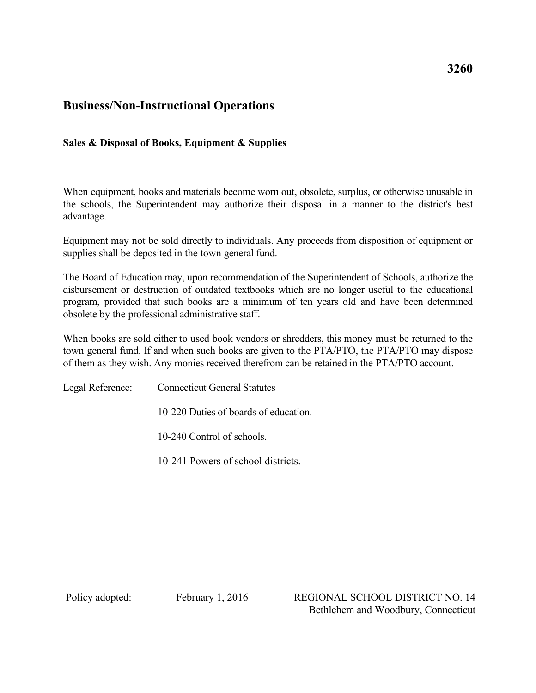## **Business/Non-Instructional Operations**

## **Sales & Disposal of Books, Equipment & Supplies**

When equipment, books and materials become worn out, obsolete, surplus, or otherwise unusable in the schools, the Superintendent may authorize their disposal in a manner to the district's best advantage.

Equipment may not be sold directly to individuals. Any proceeds from disposition of equipment or supplies shall be deposited in the town general fund.

The Board of Education may, upon recommendation of the Superintendent of Schools, authorize the disbursement or destruction of outdated textbooks which are no longer useful to the educational program, provided that such books are a minimum of ten years old and have been determined obsolete by the professional administrative staff.

When books are sold either to used book vendors or shredders, this money must be returned to the town general fund. If and when such books are given to the PTA/PTO, the PTA/PTO may dispose of them as they wish. Any monies received therefrom can be retained in the PTA/PTO account.

Legal Reference: Connecticut General Statutes

10-220 Duties of boards of education.

10-240 Control of schools.

10-241 Powers of school districts.

Policy adopted: February 1, 2016 REGIONAL SCHOOL DISTRICT NO. 14 Bethlehem and Woodbury, Connecticut